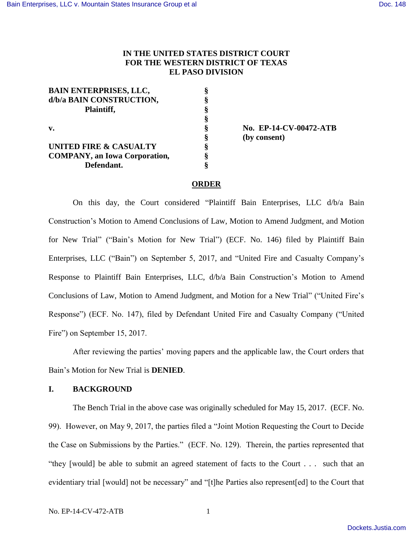# **IN THE UNITED STATES DISTRICT COURT FOR THE WESTERN DISTRICT OF TEXAS EL PASO DIVISION**

| <b>BAIN ENTERPRISES, LLC,</b>         |  |
|---------------------------------------|--|
| d/b/a BAIN CONSTRUCTION,              |  |
| Plaintiff,                            |  |
|                                       |  |
| v.                                    |  |
|                                       |  |
| <b>UNITED FIRE &amp; CASUALTY</b>     |  |
| <b>COMPANY</b> , an Iowa Corporation, |  |
| Defendant.                            |  |

**v. § No. EP-14-CV-00472-ATB § (by consent)**

## **ORDER**

On this day, the Court considered "Plaintiff Bain Enterprises, LLC d/b/a Bain Construction's Motion to Amend Conclusions of Law, Motion to Amend Judgment, and Motion for New Trial" ("Bain's Motion for New Trial") (ECF. No. 146) filed by Plaintiff Bain Enterprises, LLC ("Bain") on September 5, 2017, and "United Fire and Casualty Company's Response to Plaintiff Bain Enterprises, LLC, d/b/a Bain Construction's Motion to Amend Conclusions of Law, Motion to Amend Judgment, and Motion for a New Trial" ("United Fire's Response") (ECF. No. 147), filed by Defendant United Fire and Casualty Company ("United Fire") on September 15, 2017.

After reviewing the parties' moving papers and the applicable law, the Court orders that Bain's Motion for New Trial is **DENIED**.

## **I. BACKGROUND**

The Bench Trial in the above case was originally scheduled for May 15, 2017. (ECF. No. 99). However, on May 9, 2017, the parties filed a "Joint Motion Requesting the Court to Decide the Case on Submissions by the Parties." (ECF. No. 129). Therein, the parties represented that "they [would] be able to submit an agreed statement of facts to the Court . . . such that an evidentiary trial [would] not be necessary" and "[t]he Parties also represent[ed] to the Court that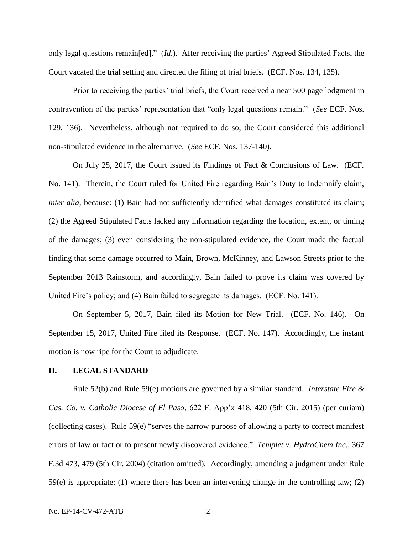only legal questions remain[ed]." (*Id*.). After receiving the parties' Agreed Stipulated Facts, the Court vacated the trial setting and directed the filing of trial briefs. (ECF. Nos. 134, 135).

Prior to receiving the parties' trial briefs, the Court received a near 500 page lodgment in contravention of the parties' representation that "only legal questions remain." (*See* ECF. Nos. 129, 136). Nevertheless, although not required to do so, the Court considered this additional non-stipulated evidence in the alternative. (*See* ECF. Nos. 137-140).

On July 25, 2017, the Court issued its Findings of Fact & Conclusions of Law. (ECF. No. 141). Therein, the Court ruled for United Fire regarding Bain's Duty to Indemnify claim, *inter alia*, because: (1) Bain had not sufficiently identified what damages constituted its claim; (2) the Agreed Stipulated Facts lacked any information regarding the location, extent, or timing of the damages; (3) even considering the non-stipulated evidence, the Court made the factual finding that some damage occurred to Main, Brown, McKinney, and Lawson Streets prior to the September 2013 Rainstorm, and accordingly, Bain failed to prove its claim was covered by United Fire's policy; and (4) Bain failed to segregate its damages. (ECF. No. 141).

On September 5, 2017, Bain filed its Motion for New Trial. (ECF. No. 146). On September 15, 2017, United Fire filed its Response. (ECF. No. 147). Accordingly, the instant motion is now ripe for the Court to adjudicate.

#### **II. LEGAL STANDARD**

Rule 52(b) and Rule 59(e) motions are governed by a similar standard. *Interstate Fire & Cas. Co. v. Catholic Diocese of El Paso*, 622 F. App'x 418, 420 (5th Cir. 2015) (per curiam) (collecting cases). Rule 59(e) "serves the narrow purpose of allowing a party to correct manifest errors of law or fact or to present newly discovered evidence." *Templet v. HydroChem Inc*., 367 F.3d 473, 479 (5th Cir. 2004) (citation omitted). Accordingly, amending a judgment under Rule 59(e) is appropriate: (1) where there has been an intervening change in the controlling law; (2)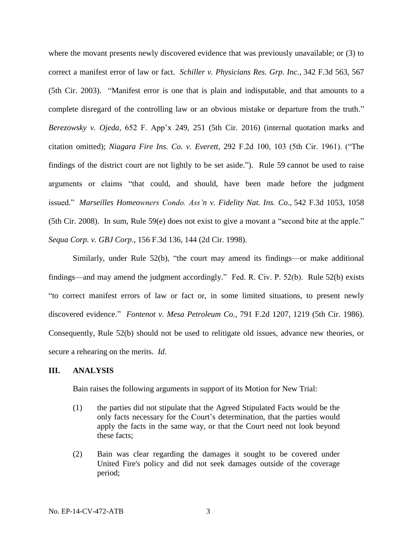where the movant presents newly discovered evidence that was previously unavailable; or (3) to correct a manifest error of law or fact. *Schiller v. Physicians Res. Grp. Inc.*, 342 F.3d 563, 567 (5th Cir. 2003). "Manifest error is one that is plain and indisputable, and that amounts to a complete disregard of the controlling law or an obvious mistake or departure from the truth." *Berezowsky v. Ojeda*, 652 F. App'x 249, 251 (5th Cir. 2016) (internal quotation marks and citation omitted); *Niagara Fire Ins. Co. v. Everett*, 292 F.2d 100, 103 (5th Cir. 1961). ("The findings of the district court are not lightly to be set aside."). Rule 59 cannot be used to raise arguments or claims "that could, and should, have been made before the judgment issued." *Marseilles Homeowners Condo. Ass'n v. Fidelity Nat. Ins. Co*., 542 F.3d 1053, 1058 (5th Cir. 2008). In sum, Rule 59(e) does not exist to give a movant a "second bite at the apple." *Sequa Corp. v. GBJ Corp*., 156 F.3d 136, 144 (2d Cir. 1998).

Similarly, under Rule 52(b), "the court may amend its findings—or make additional findings—and may amend the judgment accordingly." Fed. R. Civ. P. 52(b). Rule 52(b) exists "to correct manifest errors of law or fact or, in some limited situations, to present newly discovered evidence." *Fontenot v. Mesa Petroleum Co.*, 791 F.2d 1207, 1219 (5th Cir. 1986). Consequently, Rule 52(b) should not be used to relitigate old issues, advance new theories, or secure a rehearing on the merits. *Id*.

#### **III. ANALYSIS**

Bain raises the following arguments in support of its Motion for New Trial:

- (1) the parties did not stipulate that the Agreed Stipulated Facts would be the only facts necessary for the Court's determination, that the parties would apply the facts in the same way, or that the Court need not look beyond these facts;
- (2) Bain was clear regarding the damages it sought to be covered under United Fire's policy and did not seek damages outside of the coverage period;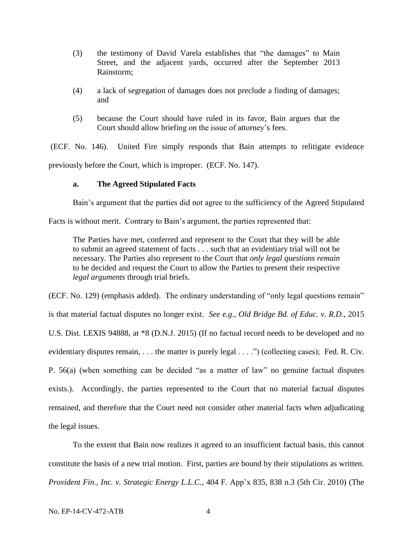- (3) the testimony of David Varela establishes that "the damages" to Main Street, and the adjacent yards, occurred after the September 2013 Rainstorm;
- (4) a lack of segregation of damages does not preclude a finding of damages; and
- (5) because the Court should have ruled in its favor, Bain argues that the Court should allow briefing on the issue of attorney's fees.

(ECF. No. 146). United Fire simply responds that Bain attempts to relitigate evidence previously before the Court, which is improper. (ECF. No. 147).

### **a. The Agreed Stipulated Facts**

Bain's argument that the parties did not agree to the sufficiency of the Agreed Stipulated

Facts is without merit. Contrary to Bain's argument, the parties represented that:

The Parties have met, conferred and represent to the Court that they will be able to submit an agreed statement of facts . . . such that an evidentiary trial will not be necessary. The Parties also represent to the Court that *only legal questions remain*  to be decided and request the Court to allow the Parties to present their respective *legal arguments* through trial briefs.

(ECF. No. 129) (emphasis added). The ordinary understanding of "only legal questions remain" is that material factual disputes no longer exist. *See e.g*., *Old Bridge Bd. of Educ. v. R.D*., 2015 U.S. Dist. LEXIS 94888, at \*8 (D.N.J. 2015) (If no factual record needs to be developed and no evidentiary disputes remain, . . . the matter is purely legal . . . .") (collecting cases); Fed. R. Civ. P. 56(a) (when something can be decided "as a matter of law" no genuine factual disputes exists.). Accordingly, the parties represented to the Court that no material factual disputes remained, and therefore that the Court need not consider other material facts when adjudicating the legal issues.

To the extent that Bain now realizes it agreed to an insufficient factual basis, this cannot constitute the basis of a new trial motion. First, parties are bound by their stipulations as written. *Provident Fin., Inc. v. Strategic Energy L.L.C.*, 404 F. App'x 835, 838 n.3 (5th Cir. 2010) (The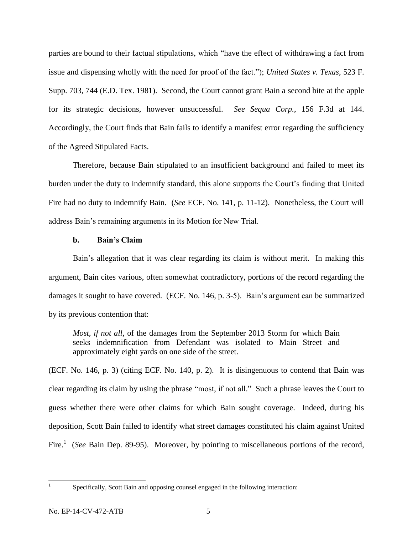parties are bound to their factual stipulations, which "have the effect of withdrawing a fact from issue and dispensing wholly with the need for proof of the fact."); *United States v. Texas*, 523 F. Supp. 703, 744 (E.D. Tex. 1981). Second, the Court cannot grant Bain a second bite at the apple for its strategic decisions, however unsuccessful. *See Sequa Corp.*, 156 F.3d at 144. Accordingly, the Court finds that Bain fails to identify a manifest error regarding the sufficiency of the Agreed Stipulated Facts.

Therefore, because Bain stipulated to an insufficient background and failed to meet its burden under the duty to indemnify standard, this alone supports the Court's finding that United Fire had no duty to indemnify Bain. (*See* ECF. No. 141, p. 11-12). Nonetheless, the Court will address Bain's remaining arguments in its Motion for New Trial.

#### **b. Bain's Claim**

Bain's allegation that it was clear regarding its claim is without merit. In making this argument, Bain cites various, often somewhat contradictory, portions of the record regarding the damages it sought to have covered. (ECF. No. 146, p. 3-5). Bain's argument can be summarized by its previous contention that:

*Most, if not all,* of the damages from the September 2013 Storm for which Bain seeks indemnification from Defendant was isolated to Main Street and approximately eight yards on one side of the street.

(ECF. No. 146, p. 3) (citing ECF. No. 140, p. 2). It is disingenuous to contend that Bain was clear regarding its claim by using the phrase "most, if not all." Such a phrase leaves the Court to guess whether there were other claims for which Bain sought coverage. Indeed, during his deposition, Scott Bain failed to identify what street damages constituted his claim against United Fire.<sup>1</sup> (*See* Bain Dep. 89-95). Moreover, by pointing to miscellaneous portions of the record,

|<br>|<br>|

Specifically, Scott Bain and opposing counsel engaged in the following interaction: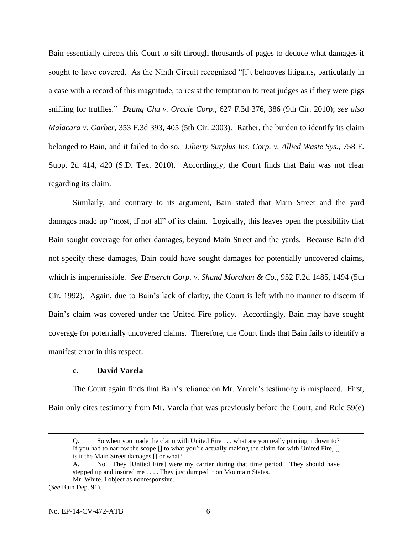Bain essentially directs this Court to sift through thousands of pages to deduce what damages it sought to have covered. As the Ninth Circuit recognized "[i]t behooves litigants, particularly in a case with a record of this magnitude, to resist the temptation to treat judges as if they were pigs sniffing for truffles." *Dzung Chu v. Oracle Corp*., 627 F.3d 376, 386 (9th Cir. 2010); *see also Malacara v. Garber*, 353 F.3d 393, 405 (5th Cir. 2003). Rather, the burden to identify its claim belonged to Bain, and it failed to do so. *Liberty Surplus Ins. Corp. v. Allied Waste Sys.*, 758 F. Supp. 2d 414, 420 (S.D. Tex. 2010). Accordingly, the Court finds that Bain was not clear regarding its claim.

Similarly, and contrary to its argument, Bain stated that Main Street and the yard damages made up "most, if not all" of its claim. Logically, this leaves open the possibility that Bain sought coverage for other damages, beyond Main Street and the yards. Because Bain did not specify these damages, Bain could have sought damages for potentially uncovered claims, which is impermissible. *See Enserch Corp. v. Shand Morahan & Co.*, 952 F.2d 1485, 1494 (5th Cir. 1992). Again, due to Bain's lack of clarity, the Court is left with no manner to discern if Bain's claim was covered under the United Fire policy. Accordingly, Bain may have sought coverage for potentially uncovered claims. Therefore, the Court finds that Bain fails to identify a manifest error in this respect.

### **c. David Varela**

The Court again finds that Bain's reliance on Mr. Varela's testimony is misplaced. First, Bain only cites testimony from Mr. Varela that was previously before the Court, and Rule 59(e)

Q. So when you made the claim with United Fire . . . what are you really pinning it down to? If you had to narrow the scope [] to what you're actually making the claim for with United Fire, [] is it the Main Street damages [] or what?

A. No. They [United Fire] were my carrier during that time period. They should have stepped up and insured me . . . . They just dumped it on Mountain States. Mr. White. I object as nonresponsive.

<sup>(</sup>*See* Bain Dep. 91).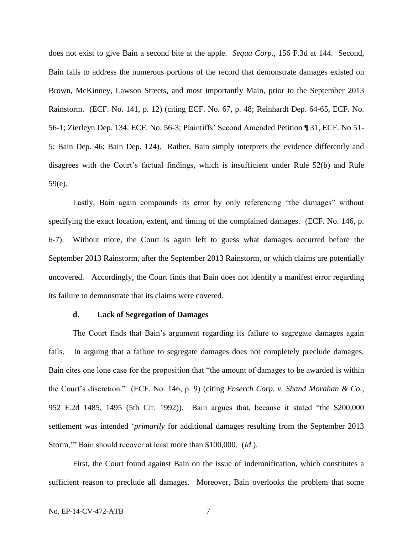does not exist to give Bain a second bite at the apple. *Sequa Corp.*, 156 F.3d at 144. Second, Bain fails to address the numerous portions of the record that demonstrate damages existed on Brown, McKinney, Lawson Streets, and most importantly Main, prior to the September 2013 Rainstorm. (ECF. No. 141, p. 12) (citing ECF. No. 67, p. 48; Reinhardt Dep. 64-65, ECF. No. 56-1; Zierleyn Dep. 134, ECF. No. 56-3; Plaintiffs' Second Amended Petition ¶ 31, ECF. No 51- 5; Bain Dep. 46; Bain Dep. 124). Rather, Bain simply interprets the evidence differently and disagrees with the Court's factual findings, which is insufficient under Rule 52(b) and Rule 59(e).

Lastly, Bain again compounds its error by only referencing "the damages" without specifying the exact location, extent, and timing of the complained damages. (ECF. No. 146, p. 6-7). Without more, the Court is again left to guess what damages occurred before the September 2013 Rainstorm, after the September 2013 Rainstorm, or which claims are potentially uncovered. Accordingly, the Court finds that Bain does not identify a manifest error regarding its failure to demonstrate that its claims were covered.

#### **d. Lack of Segregation of Damages**

The Court finds that Bain's argument regarding its failure to segregate damages again fails. In arguing that a failure to segregate damages does not completely preclude damages, Bain cites one lone case for the proposition that "the amount of damages to be awarded is within the Court's discretion." (ECF. No. 146, p. 9) (citing *Enserch Corp. v. Shand Morahan & Co.*, 952 F.2d 1485, 1495 (5th Cir. 1992)). Bain argues that, because it stated "the \$200,000 settlement was intended '*primarily* for additional damages resulting from the September 2013 Storm,'" Bain should recover at least more than \$100,000. (*Id*.).

First, the Court found against Bain on the issue of indemnification, which constitutes a sufficient reason to preclude all damages. Moreover, Bain overlooks the problem that some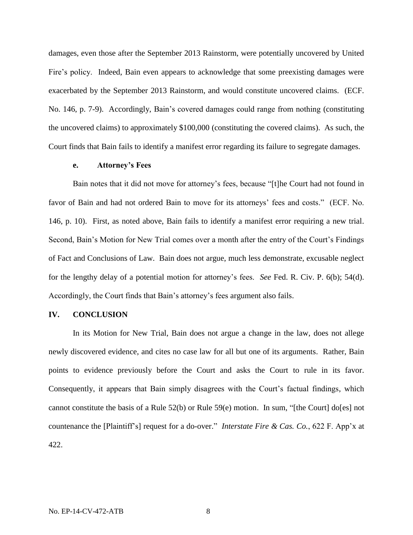damages, even those after the September 2013 Rainstorm, were potentially uncovered by United Fire's policy. Indeed, Bain even appears to acknowledge that some preexisting damages were exacerbated by the September 2013 Rainstorm, and would constitute uncovered claims. (ECF. No. 146, p. 7-9). Accordingly, Bain's covered damages could range from nothing (constituting the uncovered claims) to approximately \$100,000 (constituting the covered claims). As such, the Court finds that Bain fails to identify a manifest error regarding its failure to segregate damages.

#### **e. Attorney's Fees**

Bain notes that it did not move for attorney's fees, because "[t]he Court had not found in favor of Bain and had not ordered Bain to move for its attorneys' fees and costs." (ECF. No. 146, p. 10). First, as noted above, Bain fails to identify a manifest error requiring a new trial. Second, Bain's Motion for New Trial comes over a month after the entry of the Court's Findings of Fact and Conclusions of Law. Bain does not argue, much less demonstrate, excusable neglect for the lengthy delay of a potential motion for attorney's fees. *See* Fed. R. Civ. P. 6(b); 54(d). Accordingly, the Court finds that Bain's attorney's fees argument also fails.

#### **IV. CONCLUSION**

In its Motion for New Trial, Bain does not argue a change in the law, does not allege newly discovered evidence, and cites no case law for all but one of its arguments. Rather, Bain points to evidence previously before the Court and asks the Court to rule in its favor. Consequently, it appears that Bain simply disagrees with the Court's factual findings, which cannot constitute the basis of a Rule 52(b) or Rule 59(e) motion. In sum, "[the Court] do[es] not countenance the [Plaintiff's] request for a do-over." *Interstate Fire & Cas. Co.*, 622 F. App'x at 422.